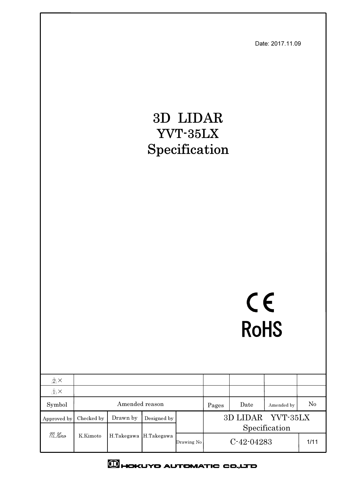Date: 2017.11.09

# 3D LIDAR YVT-35LX Specification

# CE **RoHS**

| $\mathbb{A}^{\times}$              |                        |            |             |              |       |                   |               |    |
|------------------------------------|------------------------|------------|-------------|--------------|-------|-------------------|---------------|----|
| $\bigwedge^{\mathsf{A}}\mathsf{X}$ |                        |            |             |              |       |                   |               |    |
| Symbol                             | Amended reason         |            |             |              | Pages | Date              | Amended by    | No |
| Approved by                        | Checked by             | Drawn by   | Designed by |              |       | 3D LIDAR YVT-35LX |               |    |
|                                    | H.Takegawa<br>K.Kimoto |            |             |              |       |                   | Specification |    |
| M.Hino                             |                        | H.Takegawa | Drawing No  | $C-42-04283$ |       | 1/11              |               |    |
|                                    |                        |            |             |              |       |                   |               |    |

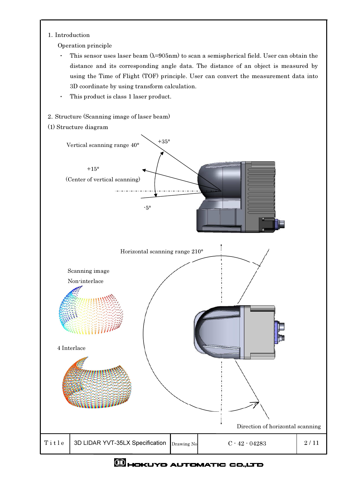### 1. Introduction

Operation principle

- $\bullet$ This sensor uses laser beam  $(\lambda=905$ nm) to scan a semispherical field. User can obtain the distance and its corresponding angle data. The distance of an object is measured by using the Time of Flight (TOF) principle. User can convert the measurement data into 3D coordinate by using transform calculation.
- This product is class 1 laser product.  $\ddot{\phantom{0}}$
- 2 Structure (Scanning image of laser beam)
- (1) Structure diagram

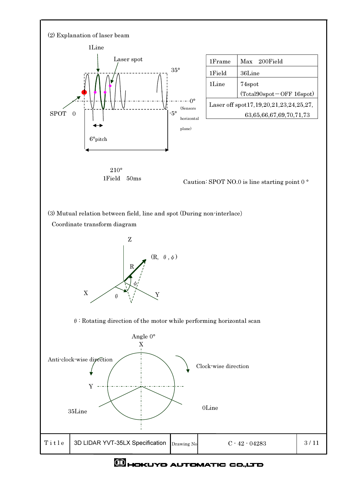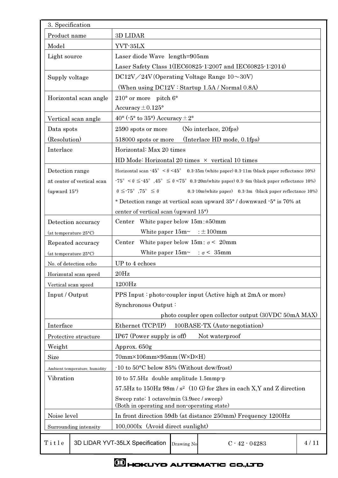| 3. Specification       |                                 |                                                                                                                                     |      |  |  |  |  |
|------------------------|---------------------------------|-------------------------------------------------------------------------------------------------------------------------------------|------|--|--|--|--|
| Product name           |                                 | 3D LIDAR                                                                                                                            |      |  |  |  |  |
| Model                  |                                 | YVT-35LX                                                                                                                            |      |  |  |  |  |
| Light source           |                                 | Laser diode Wave length=905nm                                                                                                       |      |  |  |  |  |
|                        |                                 | Laser Safety Class 1(IEC60825-1:2007 and IEC60825-1:2014)                                                                           |      |  |  |  |  |
| Supply voltage         |                                 | $DC12V/24V$ (Operating Voltage Range $10 \sim 30V$ )                                                                                |      |  |  |  |  |
|                        |                                 | (When using DC12V: Startup 1.5A / Normal 0.8A)                                                                                      |      |  |  |  |  |
|                        | Horizontal scan angle           | $210^{\circ}$ or more pitch $6^{\circ}$                                                                                             |      |  |  |  |  |
|                        |                                 | Accuracy $\pm 0.125$ °                                                                                                              |      |  |  |  |  |
|                        | Vertical scan angle             | 40 $\degree$ ( $\cdot$ 5 $\degree$ to 35 $\degree$ ) Accuracy $\pm$ 2 $\degree$                                                     |      |  |  |  |  |
| Data spots             |                                 | (No interlace, 20fps)<br>2590 spots or more                                                                                         |      |  |  |  |  |
| (Resolution)           |                                 | 518000 spots or more (Interlace HD mode, 0.1fps)                                                                                    |      |  |  |  |  |
| Interlace              |                                 | Horizontal: Max 20 times                                                                                                            |      |  |  |  |  |
|                        |                                 | HD Mode: Horizontal 20 times $\times$ vertical 10 times                                                                             |      |  |  |  |  |
| Detection range        |                                 | Horizontal scan $\cdot 45^{\circ}$ < $6 < 45^{\circ}$ 0.3 $\cdot 35$ m (white paper) 0.3 $\cdot 11$ m (black paper reflectance 10%) |      |  |  |  |  |
|                        | at center of vertical scan      | $-75^{\circ}$ < $\theta \le 45^{\circ}$ , $45^{\circ} \le \theta$ < 75° 0.3 20m(white paper) 0.3 6m (black paper reflectance 10%)   |      |  |  |  |  |
| (upward $15^{\circ}$ ) |                                 | $\theta \leq 75^{\circ}$ , $75^{\circ} \leq \theta$<br>0.3-10m(white paper) 0.3-3m (black paper reflectance 10%)                    |      |  |  |  |  |
|                        |                                 | * Detection range at vertical scan upward 35° / downward $\cdot$ 5° is 70% at                                                       |      |  |  |  |  |
|                        |                                 | center of vertical scan (upward 15°)                                                                                                |      |  |  |  |  |
|                        | Detection accuracy              | Center White paper below $15m : \pm 50mm$                                                                                           |      |  |  |  |  |
|                        | (at temperature $25^{\circ}$ C) | White paper $15m \sim \pm 100$ mm                                                                                                   |      |  |  |  |  |
|                        | Repeated accuracy               | Center<br>White paper below $15m: \sigma < 20mm$                                                                                    |      |  |  |  |  |
|                        | (at temperature 25°C)           | White paper $15m \sim$ : $\sigma$ < 35mm                                                                                            |      |  |  |  |  |
|                        | No. of detection echo           | UP to 4 echoes                                                                                                                      |      |  |  |  |  |
|                        | Horizontal scan speed           | 20Hz                                                                                                                                |      |  |  |  |  |
|                        | Vertical scan speed             | 1200Hz                                                                                                                              |      |  |  |  |  |
| Input / Output         |                                 | PPS Input: photo-coupler input (Active high at 2mA or more)                                                                         |      |  |  |  |  |
|                        |                                 | Synchronous Output:                                                                                                                 |      |  |  |  |  |
|                        |                                 | photo coupler open collector output (30VDC 50mA MAX)                                                                                |      |  |  |  |  |
| Interface              |                                 | Ethernet (TCP/IP)<br>100BASE-TX (Auto-negotiation)                                                                                  |      |  |  |  |  |
|                        | Protective structure            | IP67 (Power supply is off)<br>Not waterproof                                                                                        |      |  |  |  |  |
| Weight                 |                                 | Approx. 650g                                                                                                                        |      |  |  |  |  |
| <b>Size</b>            |                                 | $70mm \times 106mm \times 95mm$ (W $\times$ D $\times$ H)                                                                           |      |  |  |  |  |
|                        | Ambient temperature, humidity   | $-10$ to 50 $\degree$ C below 85% (Without dew/frost)                                                                               |      |  |  |  |  |
| Vibration              |                                 | 10 to 57.5Hz double amplitude 1.5mmp-p                                                                                              |      |  |  |  |  |
|                        |                                 | $57.5\text{Hz}$ to $150\text{Hz}$ 98m / $s^2$ (10 G) for 2hrs in each X,Y and Z direction                                           |      |  |  |  |  |
|                        |                                 | Sweep rate: 1 octave/min (3.9sec / sweep)<br>(Both in operating and non-operating state)                                            |      |  |  |  |  |
| Noise level            |                                 | In front direction 59db (at distance 250mm) Frequency 1200Hz                                                                        |      |  |  |  |  |
|                        | Surrounding intensity           | 100,000lx (Avoid direct sunlight)                                                                                                   |      |  |  |  |  |
|                        |                                 |                                                                                                                                     |      |  |  |  |  |
| Title                  |                                 | 3D LIDAR YVT-35LX Specification<br>$C - 42 - 04283$<br>Drawing No                                                                   | 4/11 |  |  |  |  |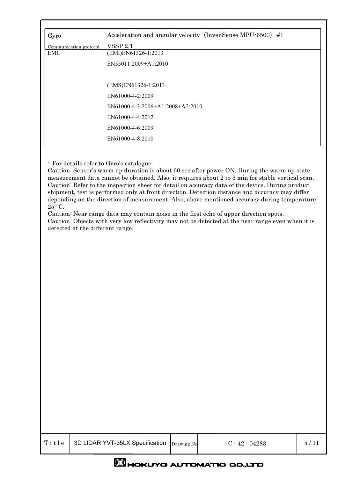| Gyro                   | Acceleration and angular velocity (InvenSense MPU-6500) #1 |
|------------------------|------------------------------------------------------------|
| Communication protocol | <b>VSSP 2.1</b>                                            |
| EMC.                   | (EMI)EN61326-1:2013                                        |
|                        | EN55011:2009+A1:2010                                       |
|                        |                                                            |
|                        | (EMS)EN61326-1:2013                                        |
|                        | EN61000-4-2:2009                                           |
|                        |                                                            |
|                        | $EN61000-4-3:2006+A1:2008+A2:2010$                         |
|                        | EN61000-4-4:2012                                           |
|                        | EN61000-4-6:2009                                           |
|                        | EN61000-4-8:2010                                           |

\*1 For details refer to Gyro's catalogue.

Caution: Sensor's warm up duration is about 60 sec after power ON. During the warm up state measurement data cannot be obtained. Also, it requires about 2 to 3 min for stable vertical scan. Caution: Refer to the inspection sheet for detail on accuracy data of the device. During product shipment, test is performed only at front direction. Detection distance and accuracy may differ depending on the direction of measurement. Also, above mentioned accuracy during temperature 25° C.

Caution: Near range data may contain noise in the first echo of upper direction spots. Caution: Objects with very low reflectivity may not be detected at the near range even when it is detected at the different range.

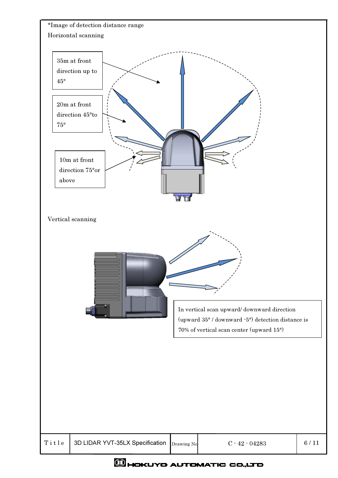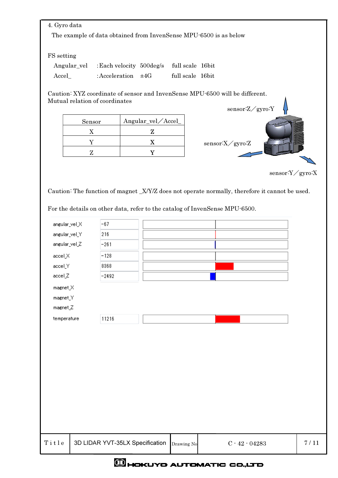| 4. Gyro data  |                                |                                                                   |                                                                                                |                 |
|---------------|--------------------------------|-------------------------------------------------------------------|------------------------------------------------------------------------------------------------|-----------------|
|               |                                | The example of data obtained from InvenSense MPU 6500 is as below |                                                                                                |                 |
|               |                                |                                                                   |                                                                                                |                 |
| FS setting    |                                |                                                                   |                                                                                                |                 |
|               | Angular_vel                    | : Each velocity 500deg/s full scale 16bit                         |                                                                                                |                 |
| Accel_        |                                | : Acceleration $\pm 4G$                                           | full scale 16bit                                                                               |                 |
|               |                                |                                                                   | Caution: XYZ coordinate of sensor and InvenSense MPU 6500 will be different.                   |                 |
|               | Mutual relation of coordinates |                                                                   |                                                                                                |                 |
|               |                                |                                                                   | sensor: Z/gyro: Y                                                                              |                 |
|               | Sensor                         | Angular_vel/Accel_                                                |                                                                                                |                 |
|               | $\mathbf X$                    | $\mathbf{Z}$                                                      |                                                                                                |                 |
|               | Y                              | X                                                                 | ${\tt sensor:X}\diagup{\tt gyro}$                                                              |                 |
|               | $\mathbf Z$                    | $\mathbf Y$                                                       |                                                                                                |                 |
|               |                                |                                                                   |                                                                                                |                 |
|               |                                |                                                                   |                                                                                                | sensor:Y/gyro:X |
|               |                                |                                                                   | Caution: The function of magnet _X/Y/Z does not operate normally, therefore it cannot be used. |                 |
|               |                                |                                                                   |                                                                                                |                 |
|               |                                |                                                                   | For the details on other data, refer to the catalog of InvenSense MPU-6500.                    |                 |
| angular_vel_X | $-67$                          |                                                                   |                                                                                                |                 |
| angular_vel_Y | 216                            |                                                                   |                                                                                                |                 |
| angular_vel_Z | $-261$                         |                                                                   |                                                                                                |                 |
|               |                                |                                                                   |                                                                                                |                 |
| accelX        | $-128$                         |                                                                   |                                                                                                |                 |
| accel_Y       | 8368                           |                                                                   |                                                                                                |                 |
| accel_Z       | $-2492$                        |                                                                   |                                                                                                |                 |
| magnet_X      |                                |                                                                   |                                                                                                |                 |

| magnet_Z    |       |  |
|-------------|-------|--|
| temperature | 11216 |  |

T i t l e 3D LIDAR YVT-35LX Specification Drawing No C - 42 - 04283 7 / 11

 $magnet_Y$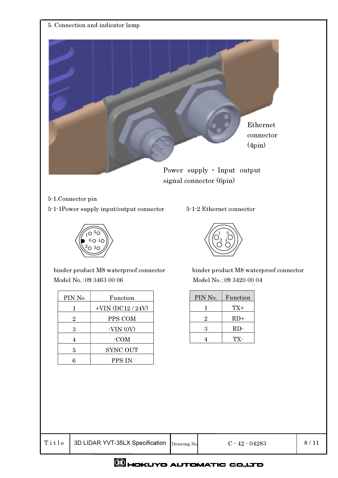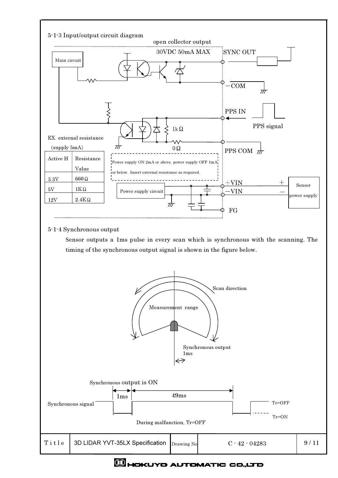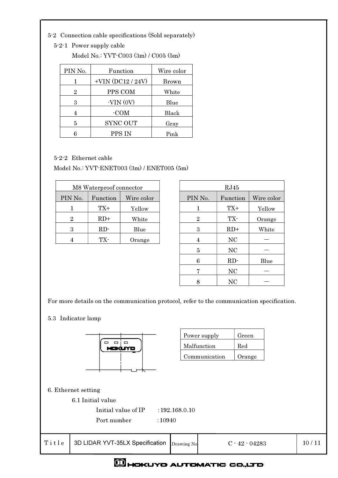- 5-2 Connection cable specifications (Sold separately)
	- 5-2-1 Power supply cable

|  | Model No.: YVT $-C003(3m)/C005(5m)$ |  |  |
|--|-------------------------------------|--|--|
|--|-------------------------------------|--|--|

| PIN No. | Function               | Wire color |
|---------|------------------------|------------|
|         | $+$ VIN $(DC12 / 24V)$ | Brown      |
| 2       | PPS COM                | White      |
| 3       | $-VIN(0V)$             | Blue       |
|         | -COM                   | Black      |
| 5       | <b>SYNC OUT</b>        | Gray       |
|         | PPS IN                 | Pink       |

5-2-2 Ethernet cable

Model No.: YVT-ENET003 (3m) / ENET005 (5m)

|         | M8 Waterproof connector |            | RJ45    |          |
|---------|-------------------------|------------|---------|----------|
| PIN No. | Function                | Wire color | PIN No. | Function |
|         | TX+                     | Yellow     |         | $TX+$    |
| 9.      | $RD+$                   | White      | 9.      | TX-      |
| 3       | RD                      | Blue       |         | $RD+$    |
|         | TX-                     | Orange     |         | NC       |

| M8 Waterproof connector |          |            |                | RJ45      |            |
|-------------------------|----------|------------|----------------|-----------|------------|
| PIN No.                 | Function | Wire color | PIN No.        | Function  | Wire color |
|                         | TX+      | Yellow     |                | $TX+$     | Yellow     |
| $\overline{2}$          | $RD+$    | White      | $\overline{2}$ | TX-       | Orange     |
| 3                       | RD       | Blue       | 3              | $RD+$     | White      |
| 4                       | TX-      | Orange     | 4              | NC        |            |
|                         |          |            | $\overline{5}$ | NC        |            |
|                         |          |            | 6              | RD        | Blue       |
|                         |          |            | 7              | NC        |            |
|                         |          |            | 8              | <b>NC</b> |            |

For more details on the communication protocol, refer to the communication specification.

5.3 Indicator lamp



| Power supply  | Green  |
|---------------|--------|
| Malfunction   | Red    |
| Communication | Orange |
|               |        |

|       | 6. Ethernet setting<br>6.1 Initial value     |                |                  |       |
|-------|----------------------------------------------|----------------|------------------|-------|
|       | Initial value of IP<br>Port number<br>:10940 | : 192.168.0.10 |                  |       |
| Title | 3D LIDAR YVT-35LX Specification              | Drawing No     | $C - 42 - 04283$ | 10/11 |